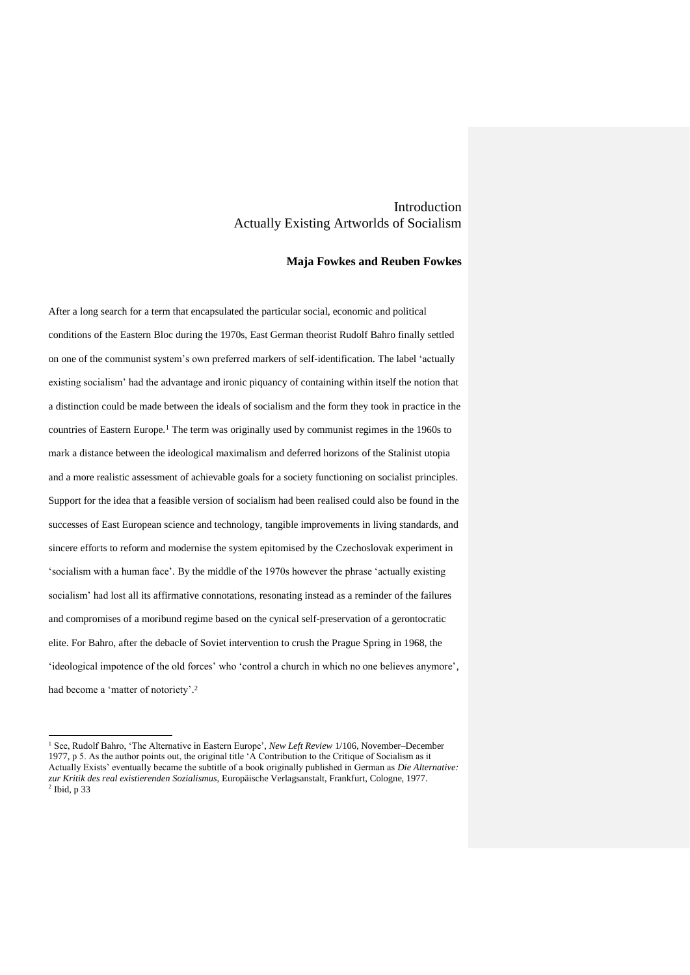## Introduction Actually Existing Artworlds of Socialism

## **Maja Fowkes and Reuben Fowkes**

After a long search for a term that encapsulated the particular social, economic and political conditions of the Eastern Bloc during the 1970s, East German theorist Rudolf Bahro finally settled on one of the communist system's own preferred markers of self-identification. The label 'actually existing socialism' had the advantage and ironic piquancy of containing within itself the notion that a distinction could be made between the ideals of socialism and the form they took in practice in the countries of Eastern Europe.<sup>1</sup> The term was originally used by communist regimes in the 1960s to mark a distance between the ideological maximalism and deferred horizons of the Stalinist utopia and a more realistic assessment of achievable goals for a society functioning on socialist principles. Support for the idea that a feasible version of socialism had been realised could also be found in the successes of East European science and technology, tangible improvements in living standards, and sincere efforts to reform and modernise the system epitomised by the Czechoslovak experiment in 'socialism with a human face'. By the middle of the 1970s however the phrase 'actually existing socialism' had lost all its affirmative connotations, resonating instead as a reminder of the failures and compromises of a moribund regime based on the cynical self-preservation of a gerontocratic elite. For Bahro, after the debacle of Soviet intervention to crush the Prague Spring in 1968, the 'ideological impotence of the old forces' who 'control a church in which no one believes anymore', had become a 'matter of notoriety'. 2

<sup>1</sup> See, Rudolf Bahro, 'The Alternative in Eastern Europe', *New Left Review* 1/106, November–December 1977, p 5. As the author points out, the original title 'A Contribution to the Critique of Socialism as it Actually Exists' eventually became the subtitle of a book originally published in German as *Die Alternative: zur Kritik des real existierenden Sozialismus*, Europäische Verlagsanstalt, Frankfurt, Cologne, 1977. 2 Ibid, p 33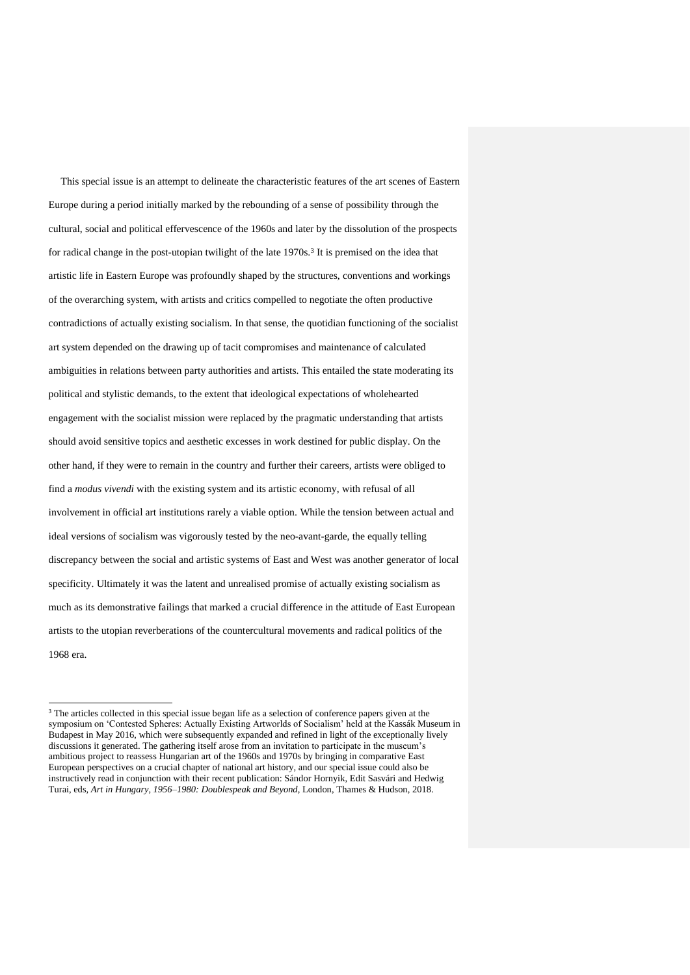This special issue is an attempt to delineate the characteristic features of the art scenes of Eastern Europe during a period initially marked by the rebounding of a sense of possibility through the cultural, social and political effervescence of the 1960s and later by the dissolution of the prospects for radical change in the post-utopian twilight of the late 1970s.<sup>3</sup> It is premised on the idea that artistic life in Eastern Europe was profoundly shaped by the structures, conventions and workings of the overarching system, with artists and critics compelled to negotiate the often productive contradictions of actually existing socialism. In that sense, the quotidian functioning of the socialist art system depended on the drawing up of tacit compromises and maintenance of calculated ambiguities in relations between party authorities and artists. This entailed the state moderating its political and stylistic demands, to the extent that ideological expectations of wholehearted engagement with the socialist mission were replaced by the pragmatic understanding that artists should avoid sensitive topics and aesthetic excesses in work destined for public display. On the other hand, if they were to remain in the country and further their careers, artists were obliged to find a *modus vivendi* with the existing system and its artistic economy, with refusal of all involvement in official art institutions rarely a viable option. While the tension between actual and ideal versions of socialism was vigorously tested by the neo-avant-garde, the equally telling discrepancy between the social and artistic systems of East and West was another generator of local specificity. Ultimately it was the latent and unrealised promise of actually existing socialism as much as its demonstrative failings that marked a crucial difference in the attitude of East European artists to the utopian reverberations of the countercultural movements and radical politics of the 1968 era.

<sup>&</sup>lt;sup>3</sup> The articles collected in this special issue began life as a selection of conference papers given at the symposium on 'Contested Spheres: Actually Existing Artworlds of Socialism' held at the Kassák Museum in Budapest in May 2016, which were subsequently expanded and refined in light of the exceptionally lively discussions it generated. The gathering itself arose from an invitation to participate in the museum's ambitious project to reassess Hungarian art of the 1960s and 1970s by bringing in comparative East European perspectives on a crucial chapter of national art history, and our special issue could also be instructively read in conjunction with their recent publication: Sándor Hornyik, Edit Sasvári and Hedwig Turai, eds, *Art in Hungary, 1956–1980: Doublespeak and Beyond*, London, Thames & Hudson, 2018.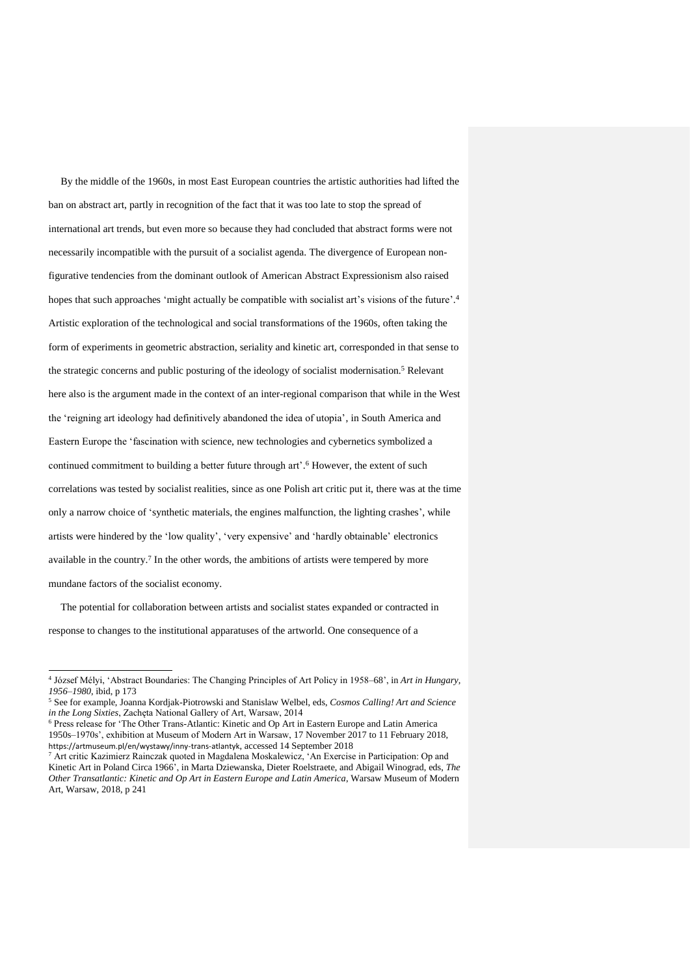By the middle of the 1960s, in most East European countries the artistic authorities had lifted the ban on abstract art, partly in recognition of the fact that it was too late to stop the spread of international art trends, but even more so because they had concluded that abstract forms were not necessarily incompatible with the pursuit of a socialist agenda. The divergence of European nonfigurative tendencies from the dominant outlook of American Abstract Expressionism also raised hopes that such approaches 'might actually be compatible with socialist art's visions of the future'.<sup>4</sup> Artistic exploration of the technological and social transformations of the 1960s, often taking the form of experiments in geometric abstraction, seriality and kinetic art, corresponded in that sense to the strategic concerns and public posturing of the ideology of socialist modernisation.<sup>5</sup> Relevant here also is the argument made in the context of an inter-regional comparison that while in the West the 'reigning art ideology had definitively abandoned the idea of utopia', in South America and Eastern Europe the 'fascination with science, new technologies and cybernetics symbolized a continued commitment to building a better future through art'. <sup>6</sup> However, the extent of such correlations was tested by socialist realities, since as one Polish art critic put it, there was at the time only a narrow choice of 'synthetic materials, the engines malfunction, the lighting crashes', while artists were hindered by the 'low quality', 'very expensive' and 'hardly obtainable' electronics available in the country.<sup>7</sup> In the other words, the ambitions of artists were tempered by more mundane factors of the socialist economy.

The potential for collaboration between artists and socialist states expanded or contracted in response to changes to the institutional apparatuses of the artworld. One consequence of a

 4 József Mélyi, 'Abstract Boundaries: The Changing Principles of Art Policy in 1958–68', in *Art in Hungary, 1956–1980*, ibid, p 173

<sup>5</sup> See for example, Joanna Kordjak-Piotrowski and Stanislaw Welbel, eds, *Cosmos Calling! Art and Science in the Long Sixties*, Zachęta National Gallery of Art, Warsaw, 2014

<sup>6</sup> Press release for 'The Other Trans-Atlantic: Kinetic and Op Art in Eastern Europe and Latin America 1950s–1970s', exhibition at Museum of Modern Art in Warsaw, 17 November 2017 to 11 February 2018, https://artmuseum.pl/en/wystawy/inny-trans-atlantyk, accessed 14 September 2018

<sup>7</sup> Art critic Kazimierz Rainczak quoted in Magdalena Moskalewicz, 'An Exercise in Participation: Op and Kinetic Art in Poland Circa 1966', in Marta Dziewanska, Dieter Roelstraete, and Abigail Winograd, eds, *The Other Transatlantic: Kinetic and Op Art in Eastern Europe and Latin America*, Warsaw Museum of Modern Art, Warsaw, 2018, p 241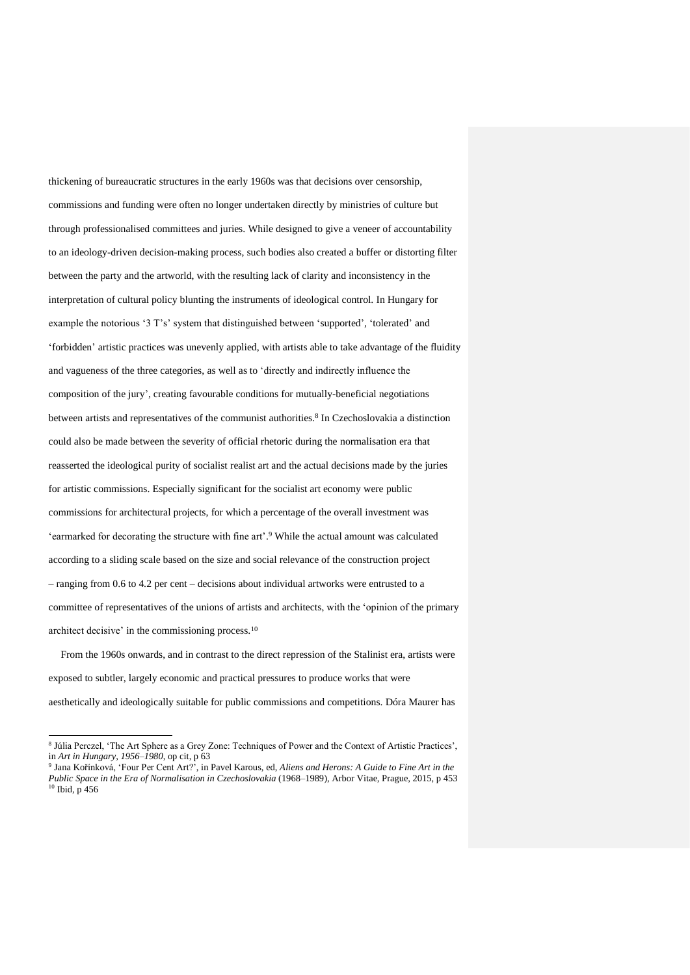thickening of bureaucratic structures in the early 1960s was that decisions over censorship, commissions and funding were often no longer undertaken directly by ministries of culture but through professionalised committees and juries. While designed to give a veneer of accountability to an ideology-driven decision-making process, such bodies also created a buffer or distorting filter between the party and the artworld, with the resulting lack of clarity and inconsistency in the interpretation of cultural policy blunting the instruments of ideological control. In Hungary for example the notorious '3 T's' system that distinguished between 'supported', 'tolerated' and 'forbidden' artistic practices was unevenly applied, with artists able to take advantage of the fluidity and vagueness of the three categories, as well as to 'directly and indirectly influence the composition of the jury', creating favourable conditions for mutually-beneficial negotiations between artists and representatives of the communist authorities.<sup>8</sup> In Czechoslovakia a distinction could also be made between the severity of official rhetoric during the normalisation era that reasserted the ideological purity of socialist realist art and the actual decisions made by the juries for artistic commissions. Especially significant for the socialist art economy were public commissions for architectural projects, for which a percentage of the overall investment was 'earmarked for decorating the structure with fine art'. <sup>9</sup> While the actual amount was calculated according to a sliding scale based on the size and social relevance of the construction project – ranging from 0.6 to 4.2 per cent – decisions about individual artworks were entrusted to a committee of representatives of the unions of artists and architects, with the 'opinion of the primary architect decisive' in the commissioning process.<sup>10</sup>

From the 1960s onwards, and in contrast to the direct repression of the Stalinist era, artists were exposed to subtler, largely economic and practical pressures to produce works that were aesthetically and ideologically suitable for public commissions and competitions. Dóra Maurer has

 8 Júlia Perczel, 'The Art Sphere as a Grey Zone: Techniques of Power and the Context of Artistic Practices', in *Art in Hungary, 1956–1980*, op cit, p 63

<sup>9</sup> Jana Kořínková, 'Four Per Cent Art?', in Pavel Karous, ed, *Aliens and Herons: A Guide to Fine Art in the Public Space in the Era of Normalisation in Czechoslovakia* (1968–1989), Arbor Vitae, Prague, 2015, p 453 <sup>10</sup> Ibid, p 456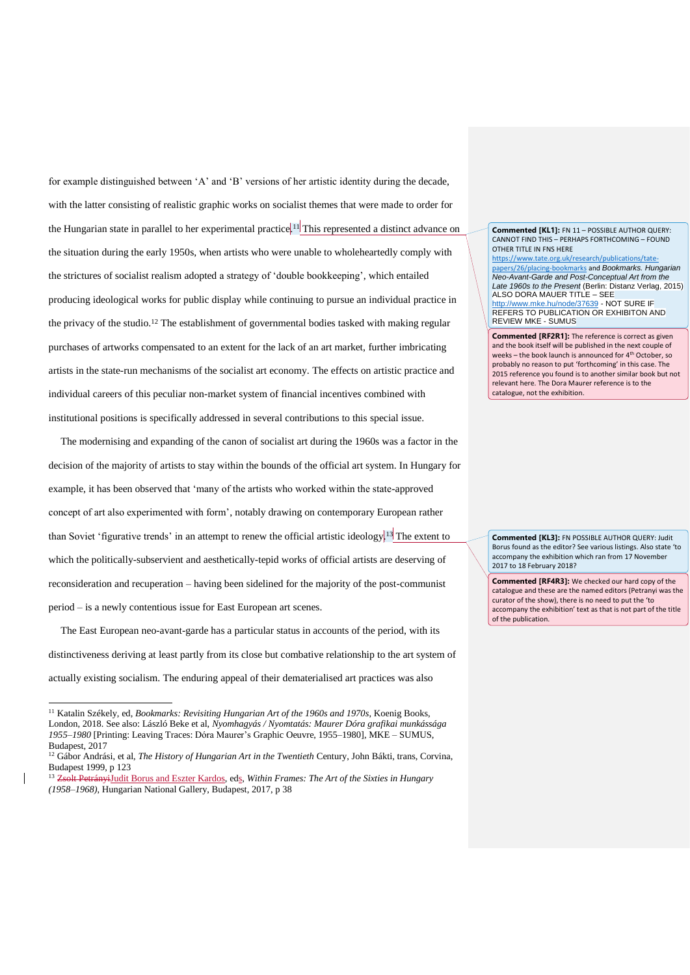for example distinguished between 'A' and 'B' versions of her artistic identity during the decade, with the latter consisting of realistic graphic works on socialist themes that were made to order for the Hungarian state in parallel to her experimental practice.<sup>[1]</sup> This represented a distinct advance on the situation during the early 1950s, when artists who were unable to wholeheartedly comply with the strictures of socialist realism adopted a strategy of 'double bookkeeping', which entailed producing ideological works for public display while continuing to pursue an individual practice in the privacy of the studio.<sup>12</sup> The establishment of governmental bodies tasked with making regular purchases of artworks compensated to an extent for the lack of an art market, further imbricating artists in the state-run mechanisms of the socialist art economy. The effects on artistic practice and individual careers of this peculiar non-market system of financial incentives combined with institutional positions is specifically addressed in several contributions to this special issue.

The modernising and expanding of the canon of socialist art during the 1960s was a factor in the decision of the majority of artists to stay within the bounds of the official art system. In Hungary for example, it has been observed that 'many of the artists who worked within the state-approved concept of art also experimented with form', notably drawing on contemporary European rather than Soviet 'figurative trends' in an attempt to renew the official artistic ideology. <sup>13</sup> The extent to which the politically-subservient and aesthetically-tepid works of official artists are deserving of reconsideration and recuperation – having been sidelined for the majority of the post-communist period – is a newly contentious issue for East European art scenes.

The East European neo-avant-garde has a particular status in accounts of the period, with its distinctiveness deriving at least partly from its close but combative relationship to the art system of actually existing socialism. The enduring appeal of their dematerialised art practices was also

 $\overline{a}$ 

**Commented [KL1]:** FN 11 – POSSIBLE AUTHOR QUERY: CANNOT FIND THIS – PERHAPS FORTHCOMING – FOUND OTHER TITLE IN FNS HERE

[https://www.tate.org.uk/research/publications/tate](https://www.tate.org.uk/research/publications/tate-papers/26/placing-bookmarks)[papers/26/placing-bookmarks](https://www.tate.org.uk/research/publications/tate-papers/26/placing-bookmarks) and *Bookmarks. Hungarian Neo-Avant-Garde and Post-Conceptual Art from the Late 1960s to the Present* (Berlin: Distanz Verlag, 2015) ALSO DORA MAUER TITLE – SEE <http://www.mke.hu/node/37639> - NOT SURE IF **REFERS TO PUBLICATION OR EXHIBITON AND** REVIEW MKE - SUMUS

**Commented [RF2R1]:** The reference is correct as given and the book itself will be published in the next couple of weeks – the book launch is announced for 4<sup>th</sup> October, so probably no reason to put 'forthcoming' in this case. The 2015 reference you found is to another similar book but not relevant here. The Dora Maurer reference is to the catalogue, not the exhibition.

**Commented [KL3]:** FN POSSIBLE AUTHOR QUERY: Judit Borus found as the editor? See various listings. Also state 'to accompany the exhibition which ran from 17 November 2017 to 18 February 2018?

**Commented [RF4R3]:** We checked our hard copy of the catalogue and these are the named editors (Petranyi was the curator of the show), there is no need to put the 'to accompany the exhibition' text as that is not part of the title of the publication.

<sup>11</sup> Katalin Székely, ed, *Bookmarks: Revisiting Hungarian Art of the 1960s and 1970s*, Koenig Books, London, 2018. See also: László Beke et al, *Nyomhagyás / Nyomtatás: Maurer Dóra grafikai munkássága 1955–1980* [Printing: Leaving Traces: Dóra Maurer's Graphic Oeuvre, 1955–1980], MKE – SUMUS, Budapest, 2017

<sup>12</sup> Gábor Andrási, et al, *The History of Hungarian Art in the Twentieth* Century, John Bákti, trans, Corvina, Budapest 1999, p 123

<sup>&</sup>lt;sup>13</sup> Zsolt PetrányiJudit Borus and Eszter Kardos, eds, Within Frames: The Art of the Sixties in Hungary *(1958–1968)*, Hungarian National Gallery, Budapest, 2017, p 38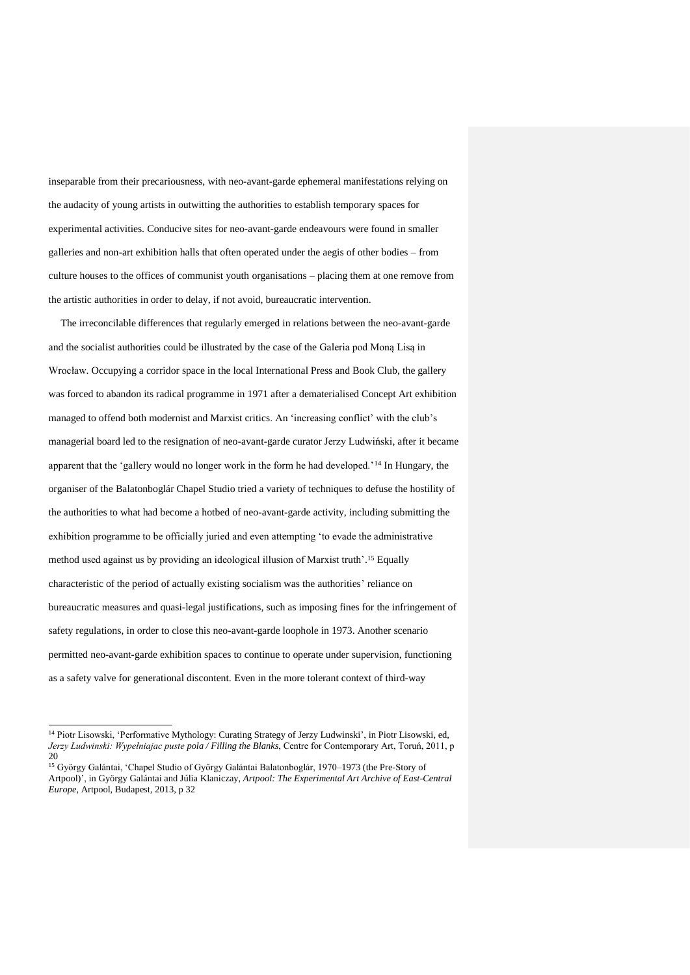inseparable from their precariousness, with neo-avant-garde ephemeral manifestations relying on the audacity of young artists in outwitting the authorities to establish temporary spaces for experimental activities. Conducive sites for neo-avant-garde endeavours were found in smaller galleries and non-art exhibition halls that often operated under the aegis of other bodies – from culture houses to the offices of communist youth organisations – placing them at one remove from the artistic authorities in order to delay, if not avoid, bureaucratic intervention.

The irreconcilable differences that regularly emerged in relations between the neo-avant-garde and the socialist authorities could be illustrated by the case of the Galeria pod Moną Lisą in Wrocław. Occupying a corridor space in the local International Press and Book Club, the gallery was forced to abandon its radical programme in 1971 after a dematerialised Concept Art exhibition managed to offend both modernist and Marxist critics. An 'increasing conflict' with the club's managerial board led to the resignation of neo-avant-garde curator Jerzy Ludwiński, after it became apparent that the 'gallery would no longer work in the form he had developed.'<sup>14</sup> In Hungary, the organiser of the Balatonboglár Chapel Studio tried a variety of techniques to defuse the hostility of the authorities to what had become a hotbed of neo-avant-garde activity, including submitting the exhibition programme to be officially juried and even attempting 'to evade the administrative method used against us by providing an ideological illusion of Marxist truth'. <sup>15</sup> Equally characteristic of the period of actually existing socialism was the authorities' reliance on bureaucratic measures and quasi-legal justifications, such as imposing fines for the infringement of safety regulations, in order to close this neo-avant-garde loophole in 1973. Another scenario permitted neo-avant-garde exhibition spaces to continue to operate under supervision, functioning as a safety valve for generational discontent. Even in the more tolerant context of third-way

<sup>14</sup> Piotr Lisowski, 'Performative Mythology: Curating Strategy of Jerzy Ludwinski', in Piotr Lisowski, ed, *Jerzy Ludwinski: Wypełniajac puste pola / Filling the Blanks*, Centre for Contemporary Art, Toruń, 2011, p 20

<sup>15</sup> György Galántai, 'Chapel Studio of György Galántai Balatonboglár, 1970–1973 (the Pre-Story of Artpool)', in György Galántai and Júlia Klaniczay, *Artpool: The Experimental Art Archive of East-Central Europe,* Artpool, Budapest, 2013, p 32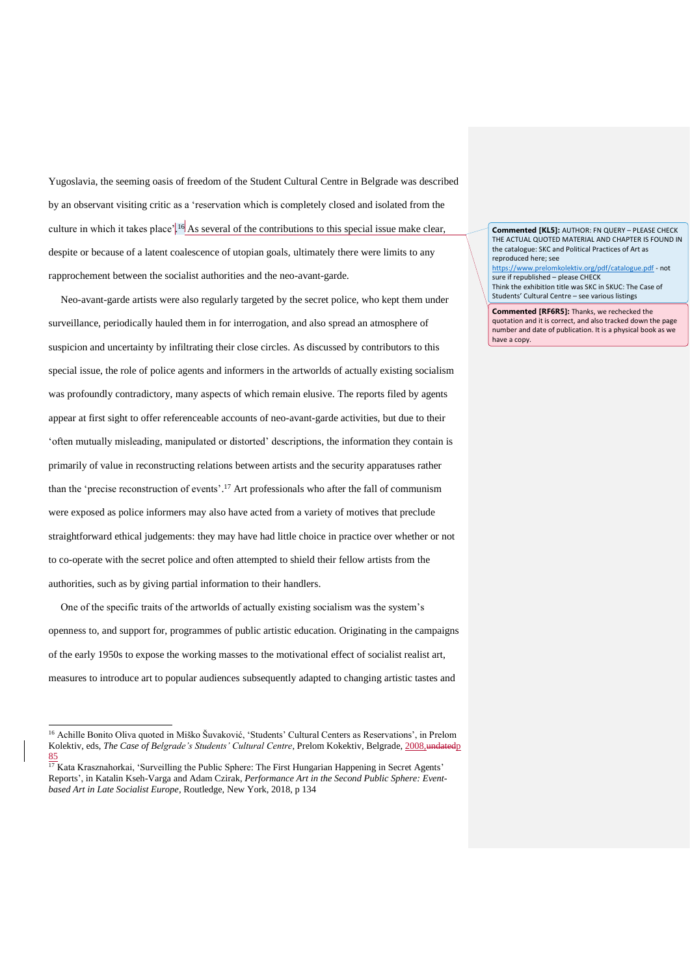Yugoslavia, the seeming oasis of freedom of the Student Cultural Centre in Belgrade was described by an observant visiting critic as a 'reservation which is completely closed and isolated from the culture in which it takes place'.<sup>16</sup> As several of the contributions to this special issue make clear, despite or because of a latent coalescence of utopian goals, ultimately there were limits to any rapprochement between the socialist authorities and the neo-avant-garde.

Neo-avant-garde artists were also regularly targeted by the secret police, who kept them under surveillance, periodically hauled them in for interrogation, and also spread an atmosphere of suspicion and uncertainty by infiltrating their close circles. As discussed by contributors to this special issue, the role of police agents and informers in the artworlds of actually existing socialism was profoundly contradictory, many aspects of which remain elusive. The reports filed by agents appear at first sight to offer referenceable accounts of neo-avant-garde activities, but due to their 'often mutually misleading, manipulated or distorted' descriptions, the information they contain is primarily of value in reconstructing relations between artists and the security apparatuses rather than the 'precise reconstruction of events'. <sup>17</sup> Art professionals who after the fall of communism were exposed as police informers may also have acted from a variety of motives that preclude straightforward ethical judgements: they may have had little choice in practice over whether or not to co-operate with the secret police and often attempted to shield their fellow artists from the authorities, such as by giving partial information to their handlers.

One of the specific traits of the artworlds of actually existing socialism was the system's openness to, and support for, programmes of public artistic education. Originating in the campaigns of the early 1950s to expose the working masses to the motivational effect of socialist realist art, measures to introduce art to popular audiences subsequently adapted to changing artistic tastes and

 $\overline{a}$ 

**Commented [KL5]:** AUTHOR: FN QUERY – PLEASE CHECK THE ACTUAL QUOTED MATERIAL AND CHAPTER IS FOUND IN the catalogue: SKC and Political Practices of Art as reproduced here; see <https://www.prelomkolektiv.org/pdf/catalogue.pdf> - not sure if republished – please CHECK Think the exhibitIon title was SKC in SKUC: The Case of Students' Cultural Centre – see various listings

**Commented [RF6R5]:** Thanks, we rechecked the quotation and it is correct, and also tracked down the page number and date of publication. It is a physical book as we have a copy.

<sup>&</sup>lt;sup>16</sup> Achille Bonito Oliva quoted in Miško Šuvaković, 'Students' Cultural Centers as Reservations', in Prelom Kolektiv, eds, *The Case of Belgrade's Students' Cultural Centre*, Prelom Kokektiv, Belgrade, 2008, undatedp 85

<sup>&</sup>lt;sup>17</sup> Kata Krasznahorkai, 'Surveilling the Public Sphere: The First Hungarian Happening in Secret Agents' Reports', in Katalin Kseh-Varga and Adam Czirak, *Performance Art in the Second Public Sphere: Eventbased Art in Late Socialist Europe*, Routledge, New York, 2018, p 134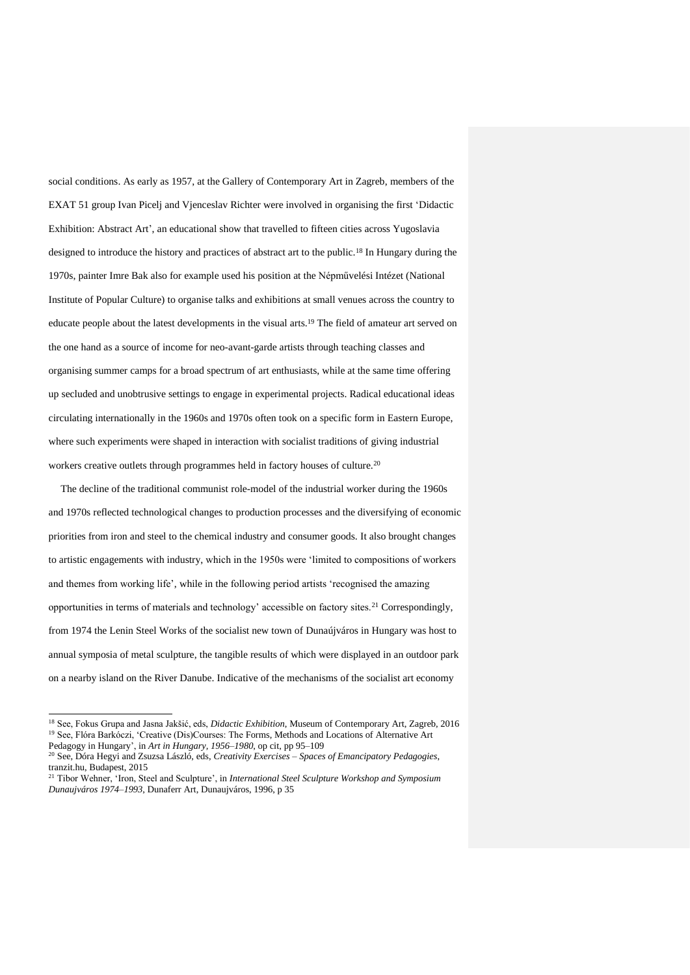social conditions. As early as 1957, at the Gallery of Contemporary Art in Zagreb, members of the EXAT 51 group Ivan Picelj and Vjenceslav Richter were involved in organising the first 'Didactic Exhibition: Abstract Art', an educational show that travelled to fifteen cities across Yugoslavia designed to introduce the history and practices of abstract art to the public.<sup>18</sup> In Hungary during the 1970s, painter Imre Bak also for example used his position at the Népművelési Intézet (National Institute of Popular Culture) to organise talks and exhibitions at small venues across the country to educate people about the latest developments in the visual arts.<sup>19</sup> The field of amateur art served on the one hand as a source of income for neo-avant-garde artists through teaching classes and organising summer camps for a broad spectrum of art enthusiasts, while at the same time offering up secluded and unobtrusive settings to engage in experimental projects. Radical educational ideas circulating internationally in the 1960s and 1970s often took on a specific form in Eastern Europe, where such experiments were shaped in interaction with socialist traditions of giving industrial workers creative outlets through programmes held in factory houses of culture.<sup>20</sup>

The decline of the traditional communist role-model of the industrial worker during the 1960s and 1970s reflected technological changes to production processes and the diversifying of economic priorities from iron and steel to the chemical industry and consumer goods. It also brought changes to artistic engagements with industry, which in the 1950s were 'limited to compositions of workers and themes from working life', while in the following period artists 'recognised the amazing opportunities in terms of materials and technology' accessible on factory sites.<sup>21</sup> Correspondingly, from 1974 the Lenin Steel Works of the socialist new town of Dunaújváros in Hungary was host to annual symposia of metal sculpture, the tangible results of which were displayed in an outdoor park on a nearby island on the River Danube. Indicative of the mechanisms of the socialist art economy

<sup>18</sup> See, Fokus Grupa and Jasna Jakšić, eds, *Didactic Exhibition*, Museum of Contemporary Art, Zagreb, 2016 <sup>19</sup> See, Flóra Barkóczi, 'Creative (Dis)Courses: The Forms, Methods and Locations of Alternative Art Pedagogy in Hungary', in *Art in Hungary, 1956–1980*, op cit, pp 95–109

<sup>20</sup> See, Dóra Hegyi and Zsuzsa László, eds, *Creativity Exercises – Spaces of Emancipatory Pedagogies*, tranzit.hu, Budapest, 2015

<sup>21</sup> Tibor Wehner, 'Iron, Steel and Sculpture', in *International Steel Sculpture Workshop and Symposium Dunaujváros 1974–1993*, Dunaferr Art, Dunaujváros, 1996, p 35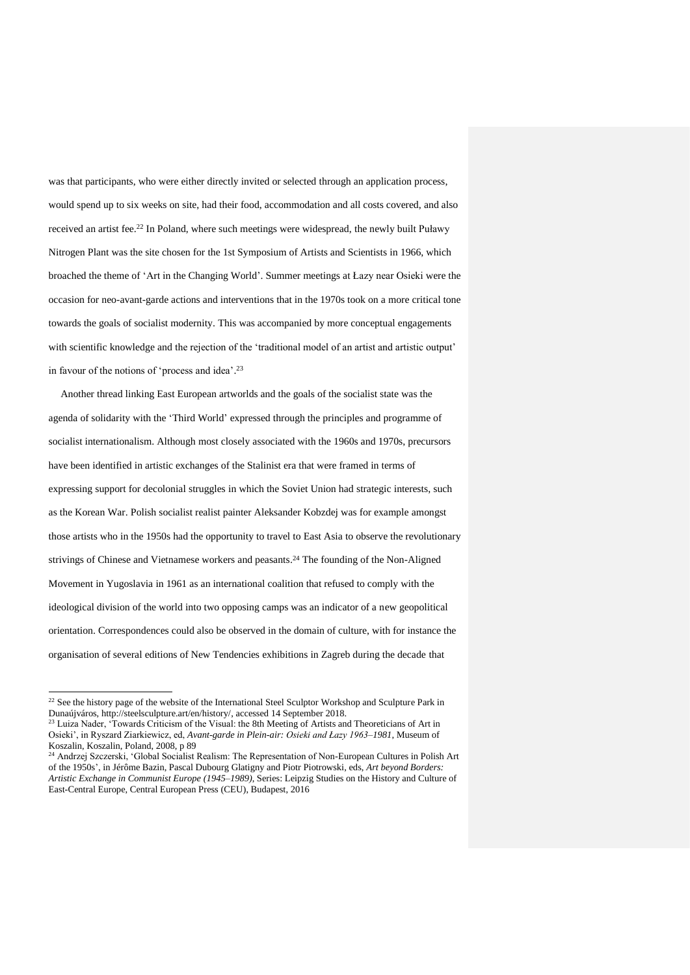was that participants, who were either directly invited or selected through an application process, would spend up to six weeks on site, had their food, accommodation and all costs covered, and also received an artist fee.<sup>22</sup> In Poland, where such meetings were widespread, the newly built Puławy Nitrogen Plant was the site chosen for the 1st Symposium of Artists and Scientists in 1966, which broached the theme of 'Art in the Changing World'. Summer meetings at Łazy near Osieki were the occasion for neo-avant-garde actions and interventions that in the 1970s took on a more critical tone towards the goals of socialist modernity. This was accompanied by more conceptual engagements with scientific knowledge and the rejection of the 'traditional model of an artist and artistic output' in favour of the notions of 'process and idea'. 23

Another thread linking East European artworlds and the goals of the socialist state was the agenda of solidarity with the 'Third World' expressed through the principles and programme of socialist internationalism. Although most closely associated with the 1960s and 1970s, precursors have been identified in artistic exchanges of the Stalinist era that were framed in terms of expressing support for decolonial struggles in which the Soviet Union had strategic interests, such as the Korean War. Polish socialist realist painter Aleksander Kobzdej was for example amongst those artists who in the 1950s had the opportunity to travel to East Asia to observe the revolutionary strivings of Chinese and Vietnamese workers and peasants. <sup>24</sup> The founding of the Non-Aligned Movement in Yugoslavia in 1961 as an international coalition that refused to comply with the ideological division of the world into two opposing camps was an indicator of a new geopolitical orientation. Correspondences could also be observed in the domain of culture, with for instance the organisation of several editions of New Tendencies exhibitions in Zagreb during the decade that

 $22$  See the history page of the website of the International Steel Sculptor Workshop and Sculpture Park in Dunaújváros, http://steelsculpture.art/en/history/, accessed 14 September 2018.

<sup>&</sup>lt;sup>23</sup> Luiza Nader, 'Towards Criticism of the Visual: the 8th Meeting of Artists and Theoreticians of Art in Osieki', in Ryszard Ziarkiewicz, ed, *Avant-garde in Plein-air: Osieki and Łazy 1963–1981*, Museum of Koszalin, Koszalin, Poland, 2008, p 89

<sup>&</sup>lt;sup>24</sup> Andrzej Szczerski, 'Global Socialist Realism: The Representation of Non-European Cultures in Polish Art of the 1950s', in Jérôme Bazin, Pascal Dubourg Glatigny and Piotr Piotrowski, eds, *Art beyond Borders: Artistic Exchange in Communist Europe (1945–1989)*, Series: Leipzig Studies on the History and Culture of East-Central Europe, Central European Press (CEU), Budapest, 2016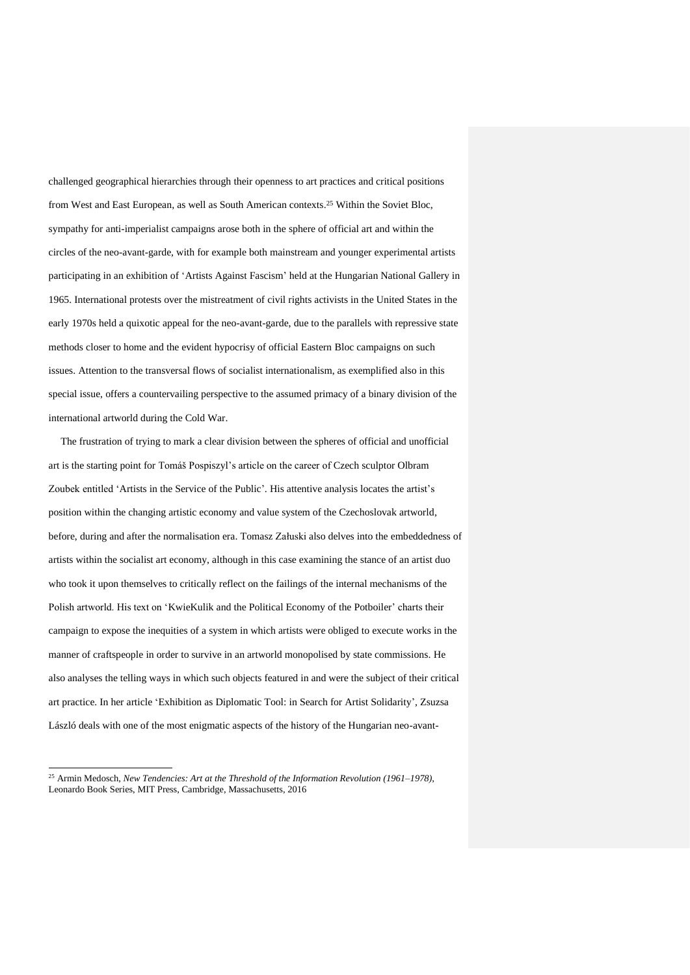challenged geographical hierarchies through their openness to art practices and critical positions from West and East European, as well as South American contexts.<sup>25</sup> Within the Soviet Bloc, sympathy for anti-imperialist campaigns arose both in the sphere of official art and within the circles of the neo-avant-garde, with for example both mainstream and younger experimental artists participating in an exhibition of 'Artists Against Fascism' held at the Hungarian National Gallery in 1965. International protests over the mistreatment of civil rights activists in the United States in the early 1970s held a quixotic appeal for the neo-avant-garde, due to the parallels with repressive state methods closer to home and the evident hypocrisy of official Eastern Bloc campaigns on such issues. Attention to the transversal flows of socialist internationalism, as exemplified also in this special issue, offers a countervailing perspective to the assumed primacy of a binary division of the international artworld during the Cold War.

The frustration of trying to mark a clear division between the spheres of official and unofficial art is the starting point for Tomáš Pospiszyl's article on the career of Czech sculptor Olbram Zoubek entitled 'Artists in the Service of the Public'. His attentive analysis locates the artist's position within the changing artistic economy and value system of the Czechoslovak artworld, before, during and after the normalisation era. Tomasz Załuski also delves into the embeddedness of artists within the socialist art economy, although in this case examining the stance of an artist duo who took it upon themselves to critically reflect on the failings of the internal mechanisms of the Polish artworld. His text on 'KwieKulik and the Political Economy of the Potboiler' charts their campaign to expose the inequities of a system in which artists were obliged to execute works in the manner of craftspeople in order to survive in an artworld monopolised by state commissions. He also analyses the telling ways in which such objects featured in and were the subject of their critical art practice. In her article 'Exhibition as Diplomatic Tool: in Search for Artist Solidarity', Zsuzsa László deals with one of the most enigmatic aspects of the history of the Hungarian neo-avant-

<sup>25</sup> Armin Medosch, *New Tendencies: Art at the Threshold of the Information Revolution (1961–1978)*, Leonardo Book Series, MIT Press, Cambridge, Massachusetts, 2016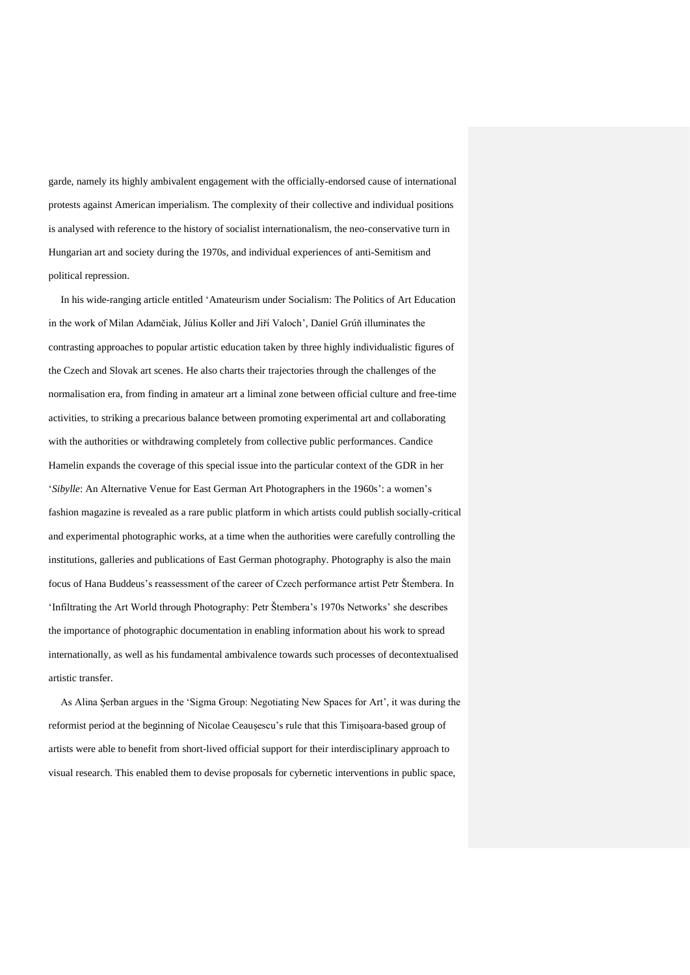garde, namely its highly ambivalent engagement with the officially-endorsed cause of international protests against American imperialism. The complexity of their collective and individual positions is analysed with reference to the history of socialist internationalism, the neo-conservative turn in Hungarian art and society during the 1970s, and individual experiences of anti-Semitism and political repression.

In his wide-ranging article entitled 'Amateurism under Socialism: The Politics of Art Education in the work of Milan Adamčiak, Július Koller and Jiří Valoch', Daniel Grúň illuminates the contrasting approaches to popular artistic education taken by three highly individualistic figures of the Czech and Slovak art scenes. He also charts their trajectories through the challenges of the normalisation era, from finding in amateur art a liminal zone between official culture and free-time activities, to striking a precarious balance between promoting experimental art and collaborating with the authorities or withdrawing completely from collective public performances. Candice Hamelin expands the coverage of this special issue into the particular context of the GDR in her '*Sibylle*: An Alternative Venue for East German Art Photographers in the 1960s': a women's fashion magazine is revealed as a rare public platform in which artists could publish socially-critical and experimental photographic works, at a time when the authorities were carefully controlling the institutions, galleries and publications of East German photography. Photography is also the main focus of Hana Buddeus's reassessment of the career of Czech performance artist Petr Štembera. In 'Infiltrating the Art World through Photography: Petr Štembera's 1970s Networks' she describes the importance of photographic documentation in enabling information about his work to spread internationally, as well as his fundamental ambivalence towards such processes of decontextualised artistic transfer.

As Alina Șerban argues in the 'Sigma Group: Negotiating New Spaces for Art', it was during the reformist period at the beginning of Nicolae Ceaușescu's rule that this Timișoara-based group of artists were able to benefit from short-lived official support for their interdisciplinary approach to visual research. This enabled them to devise proposals for cybernetic interventions in public space,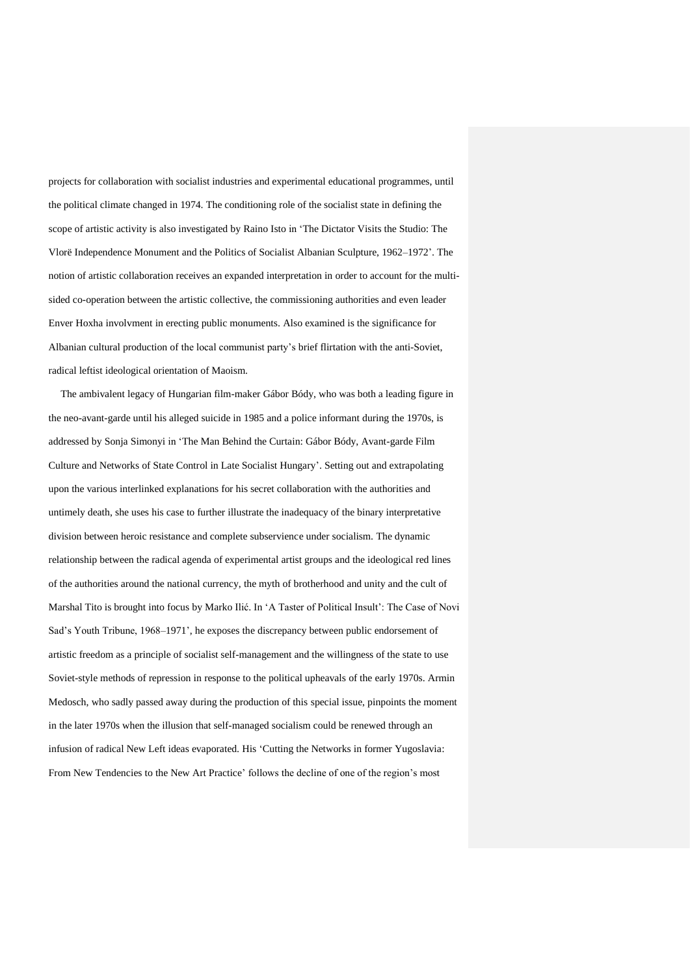projects for collaboration with socialist industries and experimental educational programmes, until the political climate changed in 1974. The conditioning role of the socialist state in defining the scope of artistic activity is also investigated by Raino Isto in 'The Dictator Visits the Studio: The Vlorë Independence Monument and the Politics of Socialist Albanian Sculpture, 1962–1972'. The notion of artistic collaboration receives an expanded interpretation in order to account for the multisided co-operation between the artistic collective, the commissioning authorities and even leader Enver Hoxha involvment in erecting public monuments. Also examined is the significance for Albanian cultural production of the local communist party's brief flirtation with the anti-Soviet, radical leftist ideological orientation of Maoism.

The ambivalent legacy of Hungarian film-maker Gábor Bódy, who was both a leading figure in the neo-avant-garde until his alleged suicide in 1985 and a police informant during the 1970s, is addressed by Sonja Simonyi in 'The Man Behind the Curtain: Gábor Bódy, Avant-garde Film Culture and Networks of State Control in Late Socialist Hungary'. Setting out and extrapolating upon the various interlinked explanations for his secret collaboration with the authorities and untimely death, she uses his case to further illustrate the inadequacy of the binary interpretative division between heroic resistance and complete subservience under socialism. The dynamic relationship between the radical agenda of experimental artist groups and the ideological red lines of the authorities around the national currency, the myth of brotherhood and unity and the cult of Marshal Tito is brought into focus by Marko Ilić. In 'A Taster of Political Insult': The Case of Novi Sad's Youth Tribune, 1968–1971', he exposes the discrepancy between public endorsement of artistic freedom as a principle of socialist self-management and the willingness of the state to use Soviet-style methods of repression in response to the political upheavals of the early 1970s. Armin Medosch, who sadly passed away during the production of this special issue, pinpoints the moment in the later 1970s when the illusion that self-managed socialism could be renewed through an infusion of radical New Left ideas evaporated. His 'Cutting the Networks in former Yugoslavia: From New Tendencies to the New Art Practice' follows the decline of one of the region's most